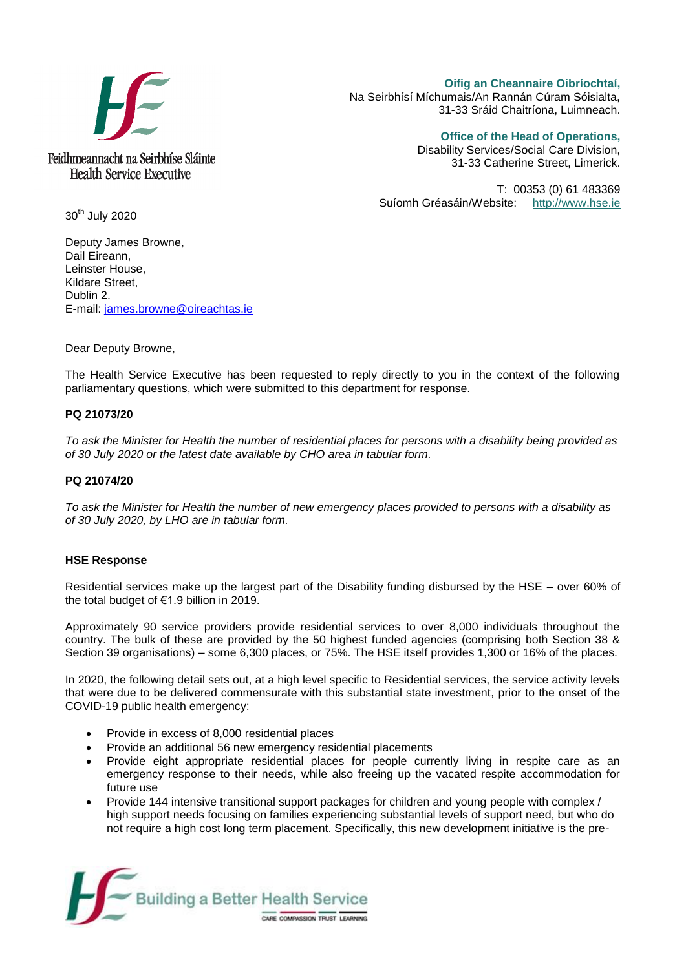

**Oifig an Cheannaire Oibríochtaí,**  Na Seirbhísí Míchumais/An Rannán Cúram Sóisialta, 31-33 Sráid Chaitríona, Luimneach.

**Office of the Head of Operations,** 

Disability Services/Social Care Division, 31-33 Catherine Street, Limerick.

T: 00353 (0) 61 483369 Suíomh Gréasáin/Website: [http://www.hse.ie](http://www.hse.ie/)

30<sup>th</sup> July 2020

Deputy James Browne, Dail Eireann, Leinster House, Kildare Street, Dublin 2. E-mail: [james.browne@oireachtas.ie](mailto:james.browne@oireachtas.ie)

Dear Deputy Browne,

The Health Service Executive has been requested to reply directly to you in the context of the following parliamentary questions, which were submitted to this department for response.

## **PQ 21073/20**

*To ask the Minister for Health the number of residential places for persons with a disability being provided as of 30 July 2020 or the latest date available by CHO area in tabular form.*

#### **PQ 21074/20**

*To ask the Minister for Health the number of new emergency places provided to persons with a disability as of 30 July 2020, by LHO are in tabular form.*

### **HSE Response**

Residential services make up the largest part of the Disability funding disbursed by the HSE – over 60% of the total budget of €1.9 billion in 2019.

Approximately 90 service providers provide residential services to over 8,000 individuals throughout the country. The bulk of these are provided by the 50 highest funded agencies (comprising both Section 38 & Section 39 organisations) – some 6,300 places, or 75%. The HSE itself provides 1,300 or 16% of the places.

In 2020, the following detail sets out, at a high level specific to Residential services, the service activity levels that were due to be delivered commensurate with this substantial state investment, prior to the onset of the COVID-19 public health emergency:

- Provide in excess of 8,000 residential places
- Provide an additional 56 new emergency residential placements
- Provide eight appropriate residential places for people currently living in respite care as an emergency response to their needs, while also freeing up the vacated respite accommodation for future use
- Provide 144 intensive transitional support packages for children and young people with complex / high support needs focusing on families experiencing substantial levels of support need, but who do not require a high cost long term placement. Specifically, this new development initiative is the pre-

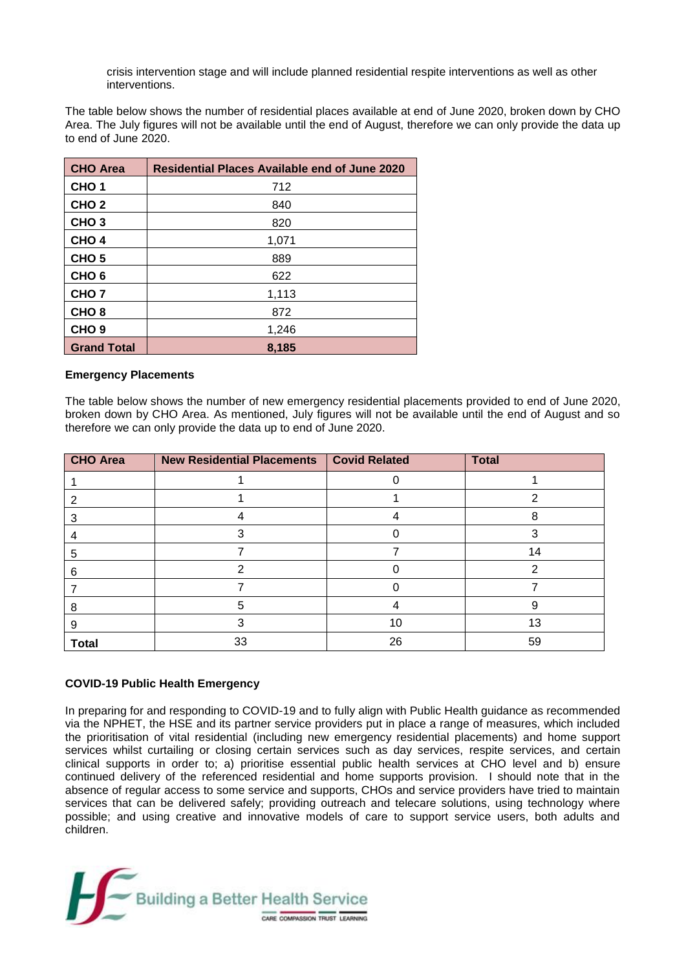crisis intervention stage and will include planned residential respite interventions as well as other interventions.

The table below shows the number of residential places available at end of June 2020, broken down by CHO Area. The July figures will not be available until the end of August, therefore we can only provide the data up to end of June 2020.

| <b>CHO Area</b>    | <b>Residential Places Available end of June 2020</b> |  |  |
|--------------------|------------------------------------------------------|--|--|
| CHO <sub>1</sub>   | 712                                                  |  |  |
| CHO <sub>2</sub>   | 840                                                  |  |  |
| CHO <sub>3</sub>   | 820                                                  |  |  |
| CHO <sub>4</sub>   | 1,071                                                |  |  |
| CHO <sub>5</sub>   | 889                                                  |  |  |
| CHO <sub>6</sub>   | 622                                                  |  |  |
| CHO <sub>7</sub>   | 1,113                                                |  |  |
| CHO <sub>8</sub>   | 872                                                  |  |  |
| CHO <sub>9</sub>   | 1,246                                                |  |  |
| <b>Grand Total</b> | 8,185                                                |  |  |

## **Emergency Placements**

The table below shows the number of new emergency residential placements provided to end of June 2020, broken down by CHO Area. As mentioned, July figures will not be available until the end of August and so therefore we can only provide the data up to end of June 2020.

| <b>CHO</b> Area | <b>New Residential Placements</b> | <b>Covid Related</b> | <b>Total</b> |
|-----------------|-----------------------------------|----------------------|--------------|
|                 |                                   |                      |              |
|                 |                                   |                      |              |
|                 |                                   |                      | 8            |
|                 |                                   |                      |              |
| 5               |                                   |                      | 14           |
| 6               |                                   |                      | ⌒            |
|                 |                                   |                      |              |
|                 | 5                                 |                      |              |
|                 |                                   | 10                   | 13           |
| <b>Total</b>    | 33                                | 26                   | 59           |

# **COVID-19 Public Health Emergency**

In preparing for and responding to COVID-19 and to fully align with Public Health guidance as recommended via the NPHET, the HSE and its partner service providers put in place a range of measures, which included the prioritisation of vital residential (including new emergency residential placements) and home support services whilst curtailing or closing certain services such as day services, respite services, and certain clinical supports in order to; a) prioritise essential public health services at CHO level and b) ensure continued delivery of the referenced residential and home supports provision. I should note that in the absence of regular access to some service and supports, CHOs and service providers have tried to maintain services that can be delivered safely; providing outreach and telecare solutions, using technology where possible; and using creative and innovative models of care to support service users, both adults and children.